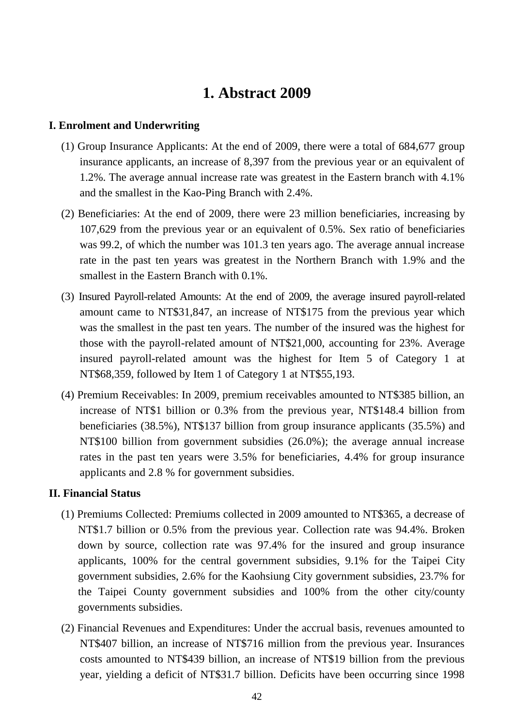# **1. Abstract 2009**

## **I. Enrolment and Underwriting**

- (1) Group Insurance Applicants: At the end of 2009, there were a total of 684,677 group insurance applicants, an increase of 8,397 from the previous year or an equivalent of 1.2%. The average annual increase rate was greatest in the Eastern branch with 4.1% and the smallest in the Kao-Ping Branch with 2.4%.
- (2) Beneficiaries: At the end of 2009, there were 23 million beneficiaries, increasing by 107,629 from the previous year or an equivalent of 0.5%. Sex ratio of beneficiaries was 99.2, of which the number was 101.3 ten years ago. The average annual increase rate in the past ten years was greatest in the Northern Branch with 1.9% and the smallest in the Eastern Branch with 0.1%.
- (3) Insured Payroll-related Amounts: At the end of 2009, the average insured payroll-related amount came to NT\$31,847, an increase of NT\$175 from the previous year which was the smallest in the past ten years. The number of the insured was the highest for those with the payroll-related amount of NT\$21,000, accounting for 23%. Average insured payroll-related amount was the highest for Item 5 of Category 1 at NT\$68,359, followed by Item 1 of Category 1 at NT\$55,193.
- (4) Premium Receivables: In 2009, premium receivables amounted to NT\$385 billion, an increase of NT\$1 billion or 0.3% from the previous year, NT\$148.4 billion from beneficiaries (38.5%), NT\$137 billion from group insurance applicants (35.5%) and NT\$100 billion from government subsidies (26.0%); the average annual increase rates in the past ten years were 3.5% for beneficiaries, 4.4% for group insurance applicants and 2.8 % for government subsidies.

#### **II. Financial Status**

- (1) Premiums Collected: Premiums collected in 2009 amounted to NT\$365, a decrease of NT\$1.7 billion or 0.5% from the previous year. Collection rate was 94.4%. Broken down by source, collection rate was 97.4% for the insured and group insurance applicants, 100% for the central government subsidies, 9.1% for the Taipei City government subsidies, 2.6% for the Kaohsiung City government subsidies, 23.7% for the Taipei County government subsidies and 100% from the other city/county governments subsidies.
- (2) Financial Revenues and Expenditures: Under the accrual basis, revenues amounted to NT\$407 billion, an increase of NT\$716 million from the previous year. Insurances costs amounted to NT\$439 billion, an increase of NT\$19 billion from the previous year, yielding a deficit of NT\$31.7 billion. Deficits have been occurring since 1998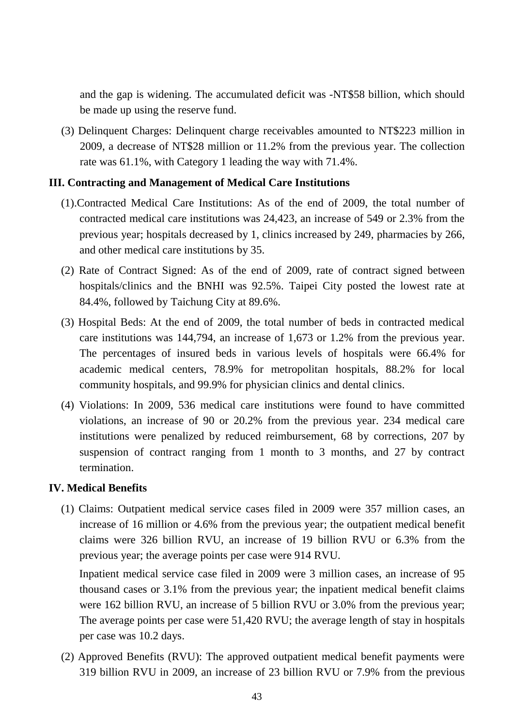and the gap is widening. The accumulated deficit was -NT\$58 billion, which should be made up using the reserve fund.

(3) Delinquent Charges: Delinquent charge receivables amounted to NT\$223 million in 2009, a decrease of NT\$28 million or 11.2% from the previous year. The collection rate was 61.1%, with Category 1 leading the way with 71.4%.

#### **III. Contracting and Management of Medical Care Institutions**

- (1).Contracted Medical Care Institutions: As of the end of 2009, the total number of contracted medical care institutions was 24,423, an increase of 549 or 2.3% from the previous year; hospitals decreased by 1, clinics increased by 249, pharmacies by 266, and other medical care institutions by 35.
- (2) Rate of Contract Signed: As of the end of 2009, rate of contract signed between hospitals/clinics and the BNHI was 92.5%. Taipei City posted the lowest rate at 84.4%, followed by Taichung City at 89.6%.
- (3) Hospital Beds: At the end of 2009, the total number of beds in contracted medical care institutions was 144,794, an increase of 1,673 or 1.2% from the previous year. The percentages of insured beds in various levels of hospitals were 66.4% for academic medical centers, 78.9% for metropolitan hospitals, 88.2% for local community hospitals, and 99.9% for physician clinics and dental clinics.
- (4) Violations: In 2009, 536 medical care institutions were found to have committed violations, an increase of 90 or 20.2% from the previous year. 234 medical care institutions were penalized by reduced reimbursement, 68 by corrections, 207 by suspension of contract ranging from 1 month to 3 months, and 27 by contract termination.

### **IV. Medical Benefits**

(1) Claims: Outpatient medical service cases filed in 2009 were 357 million cases, an increase of 16 million or 4.6% from the previous year; the outpatient medical benefit claims were 326 billion RVU, an increase of 19 billion RVU or 6.3% from the previous year; the average points per case were 914 RVU.

Inpatient medical service case filed in 2009 were 3 million cases, an increase of 95 thousand cases or 3.1% from the previous year; the inpatient medical benefit claims were 162 billion RVU, an increase of 5 billion RVU or 3.0% from the previous year; The average points per case were 51,420 RVU; the average length of stay in hospitals per case was 10.2 days.

(2) Approved Benefits (RVU): The approved outpatient medical benefit payments were 319 billion RVU in 2009, an increase of 23 billion RVU or 7.9% from the previous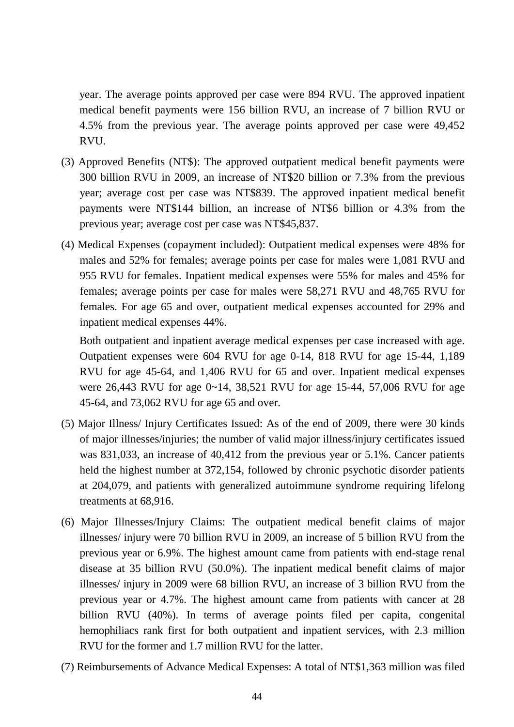year. The average points approved per case were 894 RVU. The approved inpatient medical benefit payments were 156 billion RVU, an increase of 7 billion RVU or 4.5% from the previous year. The average points approved per case were 49,452 RVU.

- (3) Approved Benefits (NT\$): The approved outpatient medical benefit payments were 300 billion RVU in 2009, an increase of NT\$20 billion or 7.3% from the previous year; average cost per case was NT\$839. The approved inpatient medical benefit payments were NT\$144 billion, an increase of NT\$6 billion or 4.3% from the previous year; average cost per case was NT\$45,837.
- (4) Medical Expenses (copayment included): Outpatient medical expenses were 48% for males and 52% for females; average points per case for males were 1,081 RVU and 955 RVU for females. Inpatient medical expenses were 55% for males and 45% for females; average points per case for males were 58,271 RVU and 48,765 RVU for females. For age 65 and over, outpatient medical expenses accounted for 29% and inpatient medical expenses 44%.

Both outpatient and inpatient average medical expenses per case increased with age. Outpatient expenses were 604 RVU for age 0-14, 818 RVU for age 15-44, 1,189 RVU for age 45-64, and 1,406 RVU for 65 and over. Inpatient medical expenses were 26,443 RVU for age 0~14, 38,521 RVU for age 15-44, 57,006 RVU for age 45-64, and 73,062 RVU for age 65 and over.

- (5) Major Illness/ Injury Certificates Issued: As of the end of 2009, there were 30 kinds of major illnesses/injuries; the number of valid major illness/injury certificates issued was 831,033, an increase of 40,412 from the previous year or 5.1%. Cancer patients held the highest number at 372,154, followed by chronic psychotic disorder patients at 204,079, and patients with generalized autoimmune syndrome requiring lifelong treatments at 68,916.
- (6) Major Illnesses/Injury Claims: The outpatient medical benefit claims of major illnesses/ injury were 70 billion RVU in 2009, an increase of 5 billion RVU from the previous year or 6.9%. The highest amount came from patients with end-stage renal disease at 35 billion RVU (50.0%). The inpatient medical benefit claims of major illnesses/ injury in 2009 were 68 billion RVU, an increase of 3 billion RVU from the previous year or 4.7%. The highest amount came from patients with cancer at 28 billion RVU (40%). In terms of average points filed per capita, congenital hemophiliacs rank first for both outpatient and inpatient services, with 2.3 million RVU for the former and 1.7 million RVU for the latter.
- (7) Reimbursements of Advance Medical Expenses: A total of NT\$1,363 million was filed